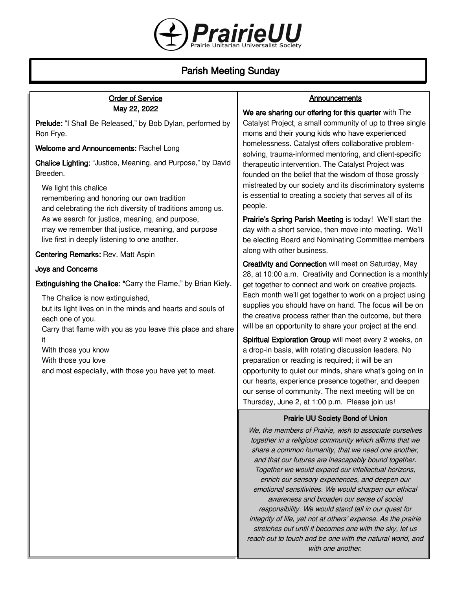

# Parish Meeting Sunday

| <b>Order of Service</b>                                                                                                                                                              | Announcements                                                                                                                                                                                                                                                                                                                                                                                                                                                                                                                                                                                                                                                                                                                                           |
|--------------------------------------------------------------------------------------------------------------------------------------------------------------------------------------|---------------------------------------------------------------------------------------------------------------------------------------------------------------------------------------------------------------------------------------------------------------------------------------------------------------------------------------------------------------------------------------------------------------------------------------------------------------------------------------------------------------------------------------------------------------------------------------------------------------------------------------------------------------------------------------------------------------------------------------------------------|
| May 22, 2022<br>Prelude: "I Shall Be Released," by Bob Dylan, performed by<br>Ron Frye.                                                                                              | We are sharing our offering for this quarter with The<br>Catalyst Project, a small community of up to three single<br>moms and their young kids who have experienced<br>homelessness. Catalyst offers collaborative problem-<br>solving, trauma-informed mentoring, and client-specific<br>therapeutic intervention. The Catalyst Project was<br>founded on the belief that the wisdom of those grossly<br>mistreated by our society and its discriminatory systems<br>is essential to creating a society that serves all of its<br>people.<br>Prairie's Spring Parish Meeting is today! We'll start the<br>day with a short service, then move into meeting. We'll<br>be electing Board and Nominating Committee members<br>along with other business. |
| Welcome and Announcements: Rachel Long<br>Chalice Lighting: "Justice, Meaning, and Purpose," by David<br>Breeden.                                                                    |                                                                                                                                                                                                                                                                                                                                                                                                                                                                                                                                                                                                                                                                                                                                                         |
| We light this chalice<br>remembering and honoring our own tradition<br>and celebrating the rich diversity of traditions among us.<br>As we search for justice, meaning, and purpose, |                                                                                                                                                                                                                                                                                                                                                                                                                                                                                                                                                                                                                                                                                                                                                         |
| may we remember that justice, meaning, and purpose<br>live first in deeply listening to one another.                                                                                 |                                                                                                                                                                                                                                                                                                                                                                                                                                                                                                                                                                                                                                                                                                                                                         |
| Centering Remarks: Rev. Matt Aspin<br><b>Joys and Concerns</b>                                                                                                                       | Creativity and Connection will meet on Saturday, May<br>28, at 10:00 a.m. Creativity and Connection is a monthly<br>get together to connect and work on creative projects.<br>Each month we'll get together to work on a project using<br>supplies you should have on hand. The focus will be on<br>the creative process rather than the outcome, but there<br>will be an opportunity to share your project at the end.                                                                                                                                                                                                                                                                                                                                 |
| Extinguishing the Chalice: "Carry the Flame," by Brian Kiely.                                                                                                                        |                                                                                                                                                                                                                                                                                                                                                                                                                                                                                                                                                                                                                                                                                                                                                         |
| The Chalice is now extinguished,<br>but its light lives on in the minds and hearts and souls of<br>each one of you.<br>Carry that flame with you as you leave this place and share   |                                                                                                                                                                                                                                                                                                                                                                                                                                                                                                                                                                                                                                                                                                                                                         |
| it<br>With those you know<br>With those you love<br>and most especially, with those you have yet to meet.                                                                            | Spiritual Exploration Group will meet every 2 weeks, on<br>a drop-in basis, with rotating discussion leaders. No<br>preparation or reading is required; it will be an<br>opportunity to quiet our minds, share what's going on in<br>our hearts, experience presence together, and deepen<br>our sense of community. The next meeting will be on<br>Thursday, June 2, at 1:00 p.m. Please join us!                                                                                                                                                                                                                                                                                                                                                      |
|                                                                                                                                                                                      | Prairie UU Society Bond of Union<br>We, the members of Prairie, wish to associate ourselves                                                                                                                                                                                                                                                                                                                                                                                                                                                                                                                                                                                                                                                             |

together in a religious community which affirms that we share a common humanity, that we need one another, and that our futures are inescapably bound together. Together we would expand our intellectual horizons, enrich our sensory experiences, and deepen our emotional sensitivities. We would sharpen our ethical awareness and broaden our sense of social responsibility. We would stand tall in our quest for integrity of life, yet not at others' expense. As the prairie stretches out until it becomes one with the sky, let us reach out to touch and be one with the natural world, and with one another.